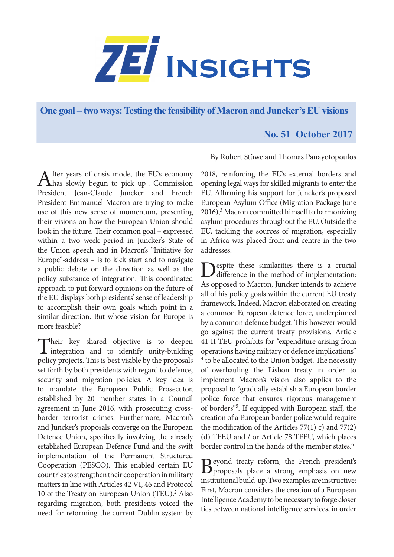

**One goal – two ways: Testing the feasibility of Macron and Juncker's EU visions** 

## **No. 51 October 2017**

By Robert Stüwe and Thomas Panayotopoulos

After years of crisis mode, the EU's economy<br>has slowly begun to pick up<sup>1</sup>. Commission President Jean-Claude Juncker and French President Emmanuel Macron are trying to make use of this new sense of momentum, presenting their visions on how the European Union should look in the future. Their common goal – expressed within a two week period in Juncker's State of the Union speech and in Macron's "Initiative for Europe"-address – is to kick start and to navigate a public debate on the direction as well as the policy substance of integration. This coordinated approach to put forward opinions on the future of the EU displays both presidents' sense of leadership to accomplish their own goals which point in a similar direction. But whose vision for Europe is more feasible?

Their key shared objective is to deepen<br>integration and to identify unity-building policy projects. This is best visible by the proposals set forth by both presidents with regard to defence, security and migration policies. A key idea is to mandate the European Public Prosecutor, established by 20 member states in a Council agreement in June 2016, with prosecuting crossborder terrorist crimes. Furthermore, Macron's and Juncker's proposals converge on the European Defence Union, specifically involving the already established European Defence Fund and the swift implementation of the Permanent Structured Cooperation (PESCO). This enabled certain EU countries to strengthen their cooperation in military matters in line with Articles 42 VI, 46 and Protocol 10 of the Treaty on European Union (TEU).<sup>2</sup> Also regarding migration, both presidents voiced the need for reforming the current Dublin system by

2018, reinforcing the EU's external borders and opening legal ways for skilled migrants to enter the EU. Affirming his support for Juncker's proposed European Asylum Office (Migration Package June 2016),<sup>3</sup> Macron committed himself to harmonizing asylum procedures throughout the EU. Outside the EU, tackling the sources of migration, especially in Africa was placed front and centre in the two addresses.

Despite these similarities there is a crucial difference in the method of implementation: As opposed to Macron, Juncker intends to achieve all of his policy goals within the current EU treaty framework. Indeed, Macron elaborated on creating a common European defence force, underpinned by a common defence budget. This however would go against the current treaty provisions. Article 41 II TEU prohibits for "expenditure arising from operations having military or defence implications" <sup>4</sup> to be allocated to the Union budget. The necessity of overhauling the Lisbon treaty in order to implement Macron's vision also applies to the proposal to "gradually establish a European border police force that ensures rigorous management of borders"5 . If equipped with European staff, the creation of a European border police would require the modification of the Articles  $77(1)$  c) and  $77(2)$ (d) TFEU and / or Article 78 TFEU, which places border control in the hands of the member states.<sup>6</sup>

Beyond treaty reform, the French president's proposals place a strong emphasis on new institutional build-up. Two examples are instructive: First, Macron considers the creation of a European Intelligence Academy to be necessary to forge closer ties between national intelligence services, in order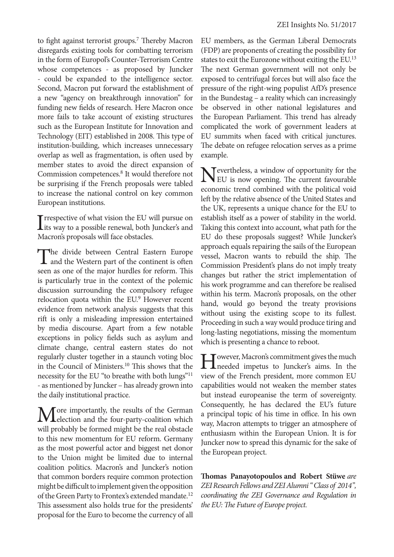to fight against terrorist groups.<sup>7</sup> Thereby Macron disregards existing tools for combatting terrorism in the form of Europol's Counter-Terrorism Centre whose competences - as proposed by Juncker - could be expanded to the intelligence sector. Second, Macron put forward the establishment of a new "agency on breakthrough innovation" for funding new fields of research. Here Macron once more fails to take account of existing structures such as the European Institute for Innovation and Technology (EIT) established in 2008. This type of institution-building, which increases unnecessary overlap as well as fragmentation, is often used by member states to avoid the direct expansion of Commission competences.8 It would therefore not be surprising if the French proposals were tabled to increase the national control on key common European institutions.

Interactive of what vision the EU will pursue on<br>
its way to a possible renewal, both Juncker's and **T** rrespective of what vision the EU will pursue on Macron's proposals will face obstacles.

The divide between Central Eastern Europe<br>and the Western part of the continent is often seen as one of the major hurdles for reform. This is particularly true in the context of the polemic discussion surrounding the compulsory refugee relocation quota within the EU.<sup>9</sup> However recent evidence from network analysis suggests that this rift is only a misleading impression entertained by media discourse. Apart from a few notable exceptions in policy fields such as asylum and climate change, central eastern states do not regularly cluster together in a staunch voting bloc in the Council of Ministers.10 This shows that the necessity for the EU "to breathe with both lungs"11 - as mentioned by Juncker – has already grown into the daily institutional practice.

Tore importantly, the results of the German election and the four-party-coalition which will probably be formed might be the real obstacle to this new momentum for EU reform. Germany as the most powerful actor and biggest net donor to the Union might be limited due to internal coalition politics. Macron's and Juncker's notion that common borders require common protection might be difficult to implement given the opposition of the Green Party to Frontex's extended mandate.<sup>12</sup> This assessment also holds true for the presidents' proposal for the Euro to become the currency of all

EU members, as the German Liberal Democrats (FDP) are proponents of creating the possibility for states to exit the Eurozone without exiting the EU.13 The next German government will not only be exposed to centrifugal forces but will also face the pressure of the right-wing populist AfD's presence in the Bundestag – a reality which can increasingly be observed in other national legislatures and the European Parliament. This trend has already complicated the work of government leaders at EU summits when faced with critical junctures. The debate on refugee relocation serves as a prime example.

Nevertheless, a window of opportunity for the<br>EU is now opening. The current favourable economic trend combined with the political void left by the relative absence of the United States and the UK, represents a unique chance for the EU to establish itself as a power of stability in the world. Taking this context into account, what path for the EU do these proposals suggest? While Juncker's approach equals repairing the sails of the European vessel, Macron wants to rebuild the ship. The Commission President's plans do not imply treaty changes but rather the strict implementation of his work programme and can therefore be realised within his term. Macron's proposals, on the other hand, would go beyond the treaty provisions without using the existing scope to its fullest. Proceeding in such a way would produce tiring and long-lasting negotiations, missing the momentum which is presenting a chance to reboot.

I Jowever, Macron's commitment gives the much<br>
needed impetus to Juncker's aims. In the view of the French president, more common EU capabilities would not weaken the member states but instead europeanise the term of sovereignty. Consequently, he has declared the EU's future a principal topic of his time in office. In his own way, Macron attempts to trigger an atmosphere of enthusiasm within the European Union. It is for Juncker now to spread this dynamic for the sake of the European project.

**Thomas Panayotopoulos and Robert Stüwe** *are ZEI Research Fellows and ZEI Alumni " Class of 2014", coordinating the ZEI Governance and Regulation in the EU: The Future of Europe project.*